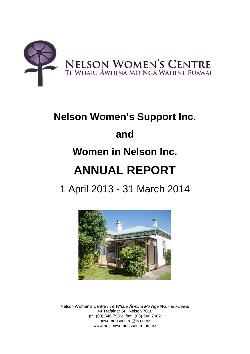

# **Nelson Women's Support Inc. and Women in Nelson Inc. ANNUAL REPORT**

1 April 2013 - 31 March 2014



Nelson Women's Centre / *Te Whare Āwhina Mō Ngā Wāhine Puawai* 44 Trafalgar St., Nelson 7010 ph: (03) 546 7986; fax: (03) 546 7982 nnwomenscentre@ts.co.nz www.nelsonwomenscentre.org.nz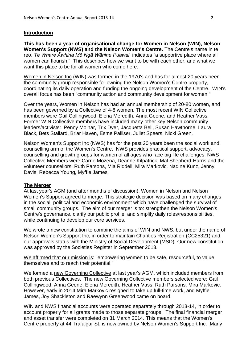#### **Introduction**

**This has been a year of organisational change for Women in Nelson (WIN), Nelson Women's Support (NWS) and the Nelson Women's Centre.** The Centre's name in te reo, *Te Whare Āwhina Mō Ngā Wāhine Puawai*, indicates "a supportive place where all women can flourish." This describes how we want to be with each other, and what we want this place to be for all women who come here.

Women in Nelson Inc (WIN) was formed in the 1970's and has for almost 20 years been the community group responsible for owning the Nelson Women's Centre property, coordinating its daily operation and funding the ongoing development of the Centre. WIN's overall focus has been "community action and community development for women."

Over the years, Women in Nelson has had an annual membership of 20-80 women, and has been governed by a Collective of 4-8 women. The most recent WIN Collective members were Gail Collingwood, Elena Meredith, Anna Geene, and Heather Vass. Former WIN Collective members have included many other key Nelson community leaders/activists: Penny Molnar, Trix Dyer, Jacquetta Bell, Susan Hawthorne, Laura Black, Bets Stallard, Briar Haven, Esme Palliser, Juliet Speers, Nicki Green.

Nelson Women's Support Inc (NWS) has for the past 20 years been the social work and counselling arm of the Women's Centre. NWS provides practical support, advocacy, counselling and growth groups for women of all ages who face big life challenges. NWS Collective Members were Carrie Mozena, Deanne Kilpatrick, Mal Shepherd-Harris and the volunteer counsellors: Ruth Parsons, Mia Riddell, Mira Markovic, Nadine Kunz, Jenny Davis, Rebecca Young, Myffie James.

#### **The Merger**

At last year's AGM (and after months of discussion), Women in Nelson and Nelson Women's Support agreed to merge. This strategic decision was based on many changes in the social, political and economic environment which have challenged the survival of small community groups. The aim of our merger is to: strengthen the Nelson Women's Centre's governance, clarify our public profile, and simplify daily roles/responsibilities, while continuing to develop our core services.

We wrote a new constitution to combine the aims of WIN and NWS, but under the name of Nelson Women's Support Inc, in order to maintain Charities Registration (CC25321) and our approvals status with the Ministry of Social Development (MSD). Our new constitution was approved by the Societies Register in September 2013.

We affirmed that our mission is: "empowering women to be safe, resourceful, to value themselves and to reach their potential."

We formed a new Governing Collective at last year's AGM, which included members from both previous Collectives. The new Governing Collective members selected were: Gail Collingwood, Anna Geene, Elena Meredith, Heather Vass, Ruth Parsons, Mira Markovic. However, early in 2014 Mira Markovic resigned to take up full-time work, and Myffie James, Joy Shackleton and Raewynn Greenwood came on board.

WIN and NWS financial accounts were operated separately through 2013-14, in order to account properly for all grants made to those separate groups. The final financial merger and asset transfer were completed on 31 March 2014. This means that the Women's Centre property at 44 Trafalgar St. is now owned by Nelson Women's Support Inc. Many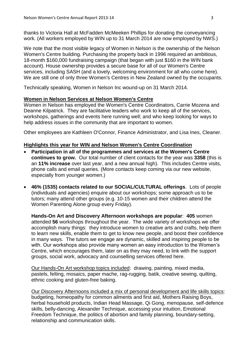thanks to Victoria Hall at McFadden McMeeken Phillips for donating the conveyancing work. (All workers employed by WIN up to 31 March 2014 are now employed by NWS.)

We note that the most visible legacy of Women in Nelson is the ownership of the Nelson Women's Centre building. Purchasing the property back in 1996 required an ambitious, 18-month \$160,000 fundraising campaign (that began with just \$160 in the WIN bank account). House ownership provides a secure base for all of our Women's Centre services, including SASH (and a lovely, welcoming environment for all who come here). We are still one of only three Women's Centres in New Zealand owned by the occupants.

Technically speaking, Women in Nelson Inc wound-up on 31 March 2014.

# **Women in Nelson Services at Nelson Women's Centre**

Women in Nelson has employed the Women's Centre Coordinators, Carrie Mozena and Deanne Kilpatrick. They are facilitative leaders who work to keep all of the services, workshops, gatherings and events here running well; and who keep looking for ways to help address issues in the community that are important to women.

Other employees are Kathleen O'Connor, Finance Administrator, and Lisa Ines, Cleaner.

# **Highlights this year for WIN and Nelson Women's Centre Coordination**

- **Participation in all of the programmes and services at the Women's Centre continues to grow.** Our total number of client contacts for the year was **3358** (this is an **11% increase** over last year, and a new annual high). This includes Centre visits, phone calls and email queries. (More contacts keep coming via our new website, especially from younger women.)
- **46% (1535) contacts related to our SOCIAL/CULTURAL offerings**. Lots of people (individuals and agencies) enquire about our workshops; some approach us to be tutors; many attend other groups (e.g. 10-15 women and their children attend the Women Parenting Alone group every Friday).

**Hands-On Art and Discovery Afternoon workshops are popular**: **405** women attended **56** workshops throughout the year. The wide variety of workshops we offer accomplish many things: they introduce women to creative arts and crafts, help them to learn new skills, enable them to get to know new people, and boost their confidence in many ways. The tutors we engage are dynamic, skilled and inspiring people to be with. Our workshops also provide many women an easy introduction to the Women's Centre, which encourages them, later on as they may need, to link with the support groups, social work, advocacy and counselling services offered here.

Our Hands-On Art workshop topics included: drawing, painting, mixed media, pastels, felting, mosaics, paper mache, rag-rugging, batik, creative sewing, quilting, ethnic cooking and gluten-free baking.

Our Discovery Afternoons included a mix of personal development and life skills topics: budgeting, homeopathy for common ailments and first aid, Mothers Raising Boys, herbal household products, Indian Head Massage, Qi Gong, menopause, self-defence skills, belly-dancing, Alexander Technique, accessing your intuition, Emotional Freedom Technique, the politics of abortion and family planning, boundary-setting, relationship and communication skills.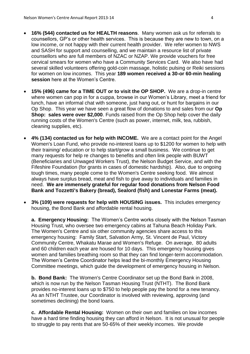- **16% (544) contacted us for HEALTH reasons**. Many women ask us for referrals to counsellors, GP's or other health services. This is because they are new to town, on a low income, or not happy with their current health provider. We refer women to NWS and SASH for support and counselling, and we maintain a resource list of private counsellors who are full members of NZAC or NZAP. We provide vouchers for free cervical smears for women who have a Community Services Card. We also have had several skilled volunteers offering gold-coin massage, holistic pulsing or Reiki sessions for women on low incomes. This year **189 women received a 30-or 60-min healing session** here at the Women's Centre.
- **15% (496) came for a TIME OUT or to visit the OP SHOP.** We are a drop-in centre where women can pop in for a cuppa, browse in our Women's Library, meet a friend for lunch, have an informal chat with someone, just hang out, or hunt for bargains in our Op Shop. This year we have seen a great flow of donations to and sales from our **Op Shop: sales were over \$2,000**. Funds raised from the Op Shop help cover the daily running costs of the Women's Centre (such as power, internet, milk, tea, rubbish, cleaning supplies, etc).
- **4% (134) contacted us for help with INCOME.** We are a contact point for the Angel Women's Loan Fund, who provide no-interest loans up to \$1200 for women to help with their training/ education or to help start/grow a small business. We continue to get many requests for help re changes to benefits and often link people with BUWT (Beneficiaries and Unwaged Workers Trust), the Nelson Budget Service, and with the Fifeshire Foundation (for grants in cases of domestic hardship). Also, due to ongoing tough times, many people come to the Women's Centre seeking food. We almost always have surplus bread, meat and fish to give away to individuals and families in need. **We are immensely grateful for regular food donations from Nelson Food Bank and Tozzetti's Bakery (bread), Sealord (fish) and Lonestar Farms (meat).**
- **3% (109) were requests for help with HOUSING issues.** This includes emergency housing, the Bond Bank and affordable rental housing.

**a. Emergency Housing:** The Women's Centre works closely with the Nelson Tasman Housing Trust, who oversee two emergency cabins at Tahuna Beach Holiday Park. The Women's Centre and six other community agencies share access to this emergency housing: Family Start, Salvation Army, St. Vincent de Paul, Victory Community Centre, Whakatu Marae and Women's Refuge. On average, 80 adults and 60 children each year are housed for 10 days. This emergency housing gives women and families breathing room so that they can find longer-term accommodation. The Women's Centre Coordinator helps lead the bi-monthly Emergency Housing Committee meetings, which guide the development of emergency housing in Nelson.

**b. Bond Bank:** The Women's Centre Coordinator set up the Bond Bank in 2008, which is now run by the Nelson Tasman Housing Trust (NTHT). The Bond Bank provides no-interest loans up to \$750 to help people pay the bond for a new tenancy. As an NTHT Trustee, our Coordinator is involved with reviewing, approving (and sometimes declining) the bond loans.

**c. Affordable Rental Housing:** Women on their own and families on low incomes have a hard time finding housing they can afford in Nelson. It is not unusual for people to struggle to pay rents that are 50-65% of their weekly incomes. We provide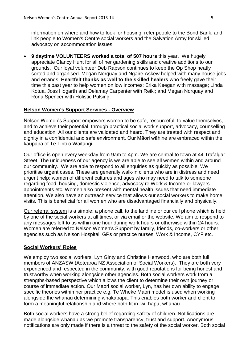information on where and how to look for housing, refer people to the Bond Bank, and link people to Women's Centre social workers and the Salvation Army for skilled advocacy on accommodation issues.

 **9 daytime VOLUNTEERS worked a total of 507 hours** this year. We hugely appreciate Clancy Hunt for all of her gardening skills and creative additions to our grounds. Our loyal volunteer Deb Rapson continues to keep the Op Shop neatly sorted and organised. Megan Norquay and Ngaire Askew helped with many house jobs and errands. **Heartfelt thanks as well to the skilled healers** who freely gave their time this past year to help women on low incomes: Erika Keegan with massage; Linda Kotua, Joss Hogarth and Delamay Carpenter with Reiki; and Megan Norquay and Rona Spencer with Holistic Pulsing.

# **Nelson Women's Support Services - Overview**

Nelson Women's Support empowers women to be safe, resourceful, to value themselves, and to achieve their potential, through practical social work support, advocacy, counselling and education. All our clients are validated and heard. They are treated with respect and dignity in a confidential and safe environment. Our Māori wāhine are embraced within the kaupapa of Te Tiriti o Waitangi.

Our office is open every weekday from 9am to 4pm. We are central to town at 44 Trafalgar Street. The uniqueness of our agency is we are able to see all women within and around our community. We are able to respond to all enquiries as quickly as possible. We prioritise urgent cases. These are generally walk-in clients who are in distress and need urgent help: women of different cultures and ages who may need to talk to someone regarding food, housing, domestic violence, advocacy re Work & Income or lawyers appointments etc. Women also present with mental health issues that need immediate attention. We also have an outreach service that allows our social workers to make home visits. This is beneficial for all women who are disadvantaged financially and physically.

Our referral system is a simple: a phone call, to the landline or our cell phone which is held by one of the social workers at all times, or via email or the website. We aim to respond to any messages left to us within one hour during work hours or otherwise within 24 hours. Women are referred to Nelson Women's Support by family, friends, co-workers or other agencies such as Nelson Hospital, GPs or practice nurses, Work & Income, CYF etc.

# **Social Workers' Roles**

We employ two social workers, Lyn Ginty and Christine Henwood, who are both full members of ANZASW (Aotearoa NZ Association of Social Workers). They are both very experienced and respected in the community, with good reputations for being honest and trustworthy when working alongside other agencies. Both social workers work from a strengths-based perspective which allows the client to determine their own journey or course of immediate action. Our Maori social worker, Lyn, has her own ability to engage specific theories within her practice e.g. Te Wheke Maori model is used when working alongside the whanau determining whakapapa. This enables both worker and client to form a meaningful relationship and where both fit in iwi, hapu, whanau.

Both social workers have a strong belief regarding safety of children. Notifications are made alongside whanau as we promote transparency, trust and support. Anonymous notifications are only made if there is a threat to the safety of the social worker. Both social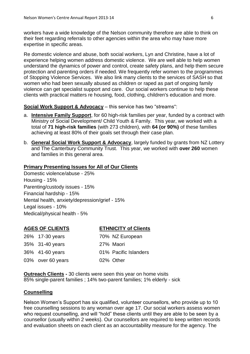workers have a wide knowledge of the Nelson community therefore are able to think on their feet regarding referrals to other agencies within the area who may have more expertise in specific areas.

Re domestic violence and abuse, both social workers, Lyn and Christine, have a lot of experience helping women address domestic violence. We are well able to help women understand the dynamics of power and control, create safety plans, and help them secure protection and parenting orders if needed. We frequently refer women to the programmes of Stopping Violence Services. We also link many clients to the services of SASH so that women who had been sexually abused as children or raped as part of ongoing family violence can get specialist support and care. Our social workers continue to help these clients with practical matters re housing, food, clothing, children's education and more.

#### **Social Work Support & Advocacy** – this service has two "streams":

- a. **Intensive Family Support**, for 60 high-risk families per year, funded by a contract with Ministry of Social Development/ Child Youth & Family. This year, we worked with a total of **71 high-risk families** (with 273 children), with **64 (or 90%)** of these families achieving at least 80% of their goals set through their case plan.
- b. **General Social Work Support & Advocacy**, largely funded by grants from NZ Lottery and The Canterbury Community Trust. This year, we worked with **over 260** women and families in this general area.

### **Primary Presenting Issues for All of Our Clients**

Domestic violence/abuse - 25% Housing - 15% Parenting/custody issues - 15% Financial hardship - 15% Mental health, anxiety/depression/grief - 15% Legal issues - 10% Medical/physical health - 5%

#### **AGES OF CLIENTS ETHNICITY of Clients**

| 26% 17-30 years   | 70% NZ European       |
|-------------------|-----------------------|
| 35% 31-40 years   | 27% Maori             |
| 36% 41-60 years   | 01% Pacific Islanders |
| 03% over 60 years | 02% Other             |

**Outreach Clients -** 30 clients were seen this year on home visits 85% single-parent families ; 14% two-parent families; 1% elderly - sick

#### **Counselling**

Nelson Women's Support has six qualified, volunteer counsellors, who provide up to 10 free counselling sessions to any woman over age 17. Our social workers assess women who request counselling, and will "hold" these clients until they are able to be seen by a counsellor (usually within 2 weeks). Our counsellors are required to keep written records and evaluation sheets on each client as an accountability measure for the agency. The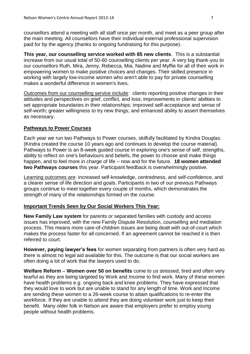counsellors attend a meeting with all staff once per month, and meet as a peer group after the main meeting. All counsellors have their individual external professional supervision paid for by the agency (thanks to ongoing fundraising for this purpose).

**This year, our counselling service worked with 85 new clients**. This is a substantial increase from our usual total of 50-60 counselling clients per year. A very big thank-you to our counsellors Ruth, Mira, Jenny, Rebecca, Mia, Nadine and Myffie for all of their work in empowering women to make positive choices and changes. Their skilled presence in working with largely low-income women who aren't able to pay for private counselling makes a wonderful difference in women's lives.

Outcomes from our counselling service include: clients reporting positive changes in their attitudes and perspectives on grief, conflict, and loss; improvements in clients' abilities to set appropriate boundaries in their relationships; improved self-acceptance and sense of self-worth; greater willingness to try new things; and enhanced ability to assert themselves as necessary.

# **Pathways to Power Courses**

Each year we run two Pathways to Power courses, skilfully facilitated by Kindra Douglas. (Kindra created the course 10 years ago and continues to develop the course material). Pathways to Power is an 8-week guided course in exploring one's sense of self, strengths, ability to reflect on one's behaviours and beliefs, the power to choose and make things happen, and to feel more in charge of life – now and for the future. **18 women attended two Pathways courses** this year. Participant feedback is overwhelmingly positive.

Learning outcomes are: increased self-knowledge, centredness, and self-confidence, and a clearer sense of life direction and goals. Participants in two of our previous Pathways groups continue to meet together every couple of months, which demonstrates the strength of many of the relationships formed on the course.

# **Important Trends Seen by Our Social Workers This Year:**

**New Family Law system** for parents or separated families with custody and access issues has improved, with the new Family Dispute Resolution, counselling and mediation process. This means more care-of-children issues are being dealt with out-of-court which makes the process faster for all concerned. If an agreement cannot be reached it is then referred to court.

**However, paying lawyer's fees** for women separating from partners is often very hard as there is almost no legal aid available for this. The outcome is that our social workers are often doing a lot of work that the lawyers used to do.

**Welfare Reform** – **Women over 50 on benefits** come to us stressed, tired and often very tearful as they are being targeted by Work and Income to find work. Many of these women have health problems e.g. ongoing back and knee problems. They have expressed that they would love to work but are unable to stand for any length of time. Work and Income are sending these women to a 26-week course to attain qualifications to re-enter the workforce. If they are unable to attend they are doing volunteer work just to keep their benefit. Many older folk in Nelson are aware that employers prefer to employ young people without health problems.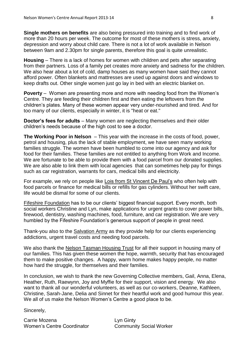**Single mothers on benefits** are also being pressured into training and to find work of more than 20 hours per week. The outcome for most of these mothers is stress, anxiety, depression and worry about child care. There is not a lot of work available in Nelson between 9am and 2.30pm for single parents, therefore this goal is quite unrealistic.

**Housing** – There is a lack of homes for women with children and pets after separating from their partners. Loss of a family pet creates more anxiety and sadness for the children. We also hear about a lot of cold, damp houses as many women have said they cannot afford power. Often blankets and mattresses are used up against doors and windows to keep drafts out. Other single women just go lay in bed with an electric blanket on.

**Poverty** – Women are presenting more and more with needing food from the Women's Centre. They are feeding their children first and then eating the leftovers from the children's plates. Many of these women appear very under-nourished and tired. And for too many of our clients, especially in winter, it is "heat or eat."

**Doctor's fees for adults** – Many women are neglecting themselves and their older children's needs because of the high cost to see a doctor.

**The Working Poor in Nelson** – This year with the increase in the costs of food, power, petrol and housing, plus the lack of stable employment, we have seen many working families struggle. The women have been humbled to come into our agency and ask for food for their families. These families are not entitled to anything from Work and Income. We are fortunate to be able to provide them with a food parcel from our donated supplies. We are also able to link them with local agencies that can sometimes help pay for things such as car registration, warrants for cars, medical bills and electricity.

For example, we rely on people like Lois from St Vincent De Paul's who often help with food parcels or finance for medical bills or refills for gas cylinders. Without her swift care, life would be dismal for some of our clients.

Fifeshire Foundation has to be our clients' biggest financial support. Every month, both social workers Christine and Lyn, make applications for urgent grants to cover power bills, firewood, dentistry, washing machines, food, furniture, and car registration. We are very humbled by the Fifeshire Foundation's generous support of people in great need.

Thank-you also to the Salvation Army as they provide help for our clients experiencing addictions, urgent travel costs and needing food parcels.

We also thank the Nelson Tasman Housing Trust for all their support in housing many of our families. This has given these women the hope, warmth, security that has encouraged them to make positive changes. A happy, warm home makes happy people, no matter how hard the struggle, for themselves and their families.

In conclusion, we wish to thank the new Governing Collective members, Gail, Anna, Elena, Heather, Ruth, Raewynn, Joy and Myffie for their support, vision and energy. We also want to thank all our wonderful volunteers, as well as our co-workers, Deanne, Kathleen, Christine, Sarah-Jane, Delia and Sinnet for their heartful work and good humour this year. We all of us make the Nelson Women's Centre a good place to be.

Sincerely,

Carrie Mozena **Lyn Ginty** Women's Centre Coordinator Community Social Worker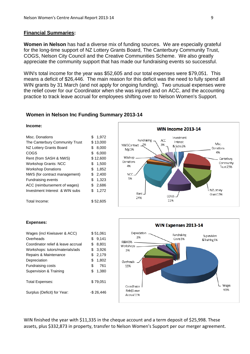#### **Financial Summaries:**

**Women in Nelson** has had a diverse mix of funding sources. We are especially grateful for the long-time support of NZ Lottery Grants Board, The Canterbury Community Trust, COGS, Nelson City Council and the Creative Communities Scheme. We also greatly appreciate the community support that has made our fundraising events so successful.

WIN's total income for the year was \$52,605 and our total expenses were \$79,051. This means a deficit of \$26,446. The main reason for this deficit was the need to fully spend all WIN grants by 31 March (and not apply for ongoing funding). Two unusual expenses were the relief cover for our Coordinator when she was injured and on ACC, and the accounting practice to track leave accrual for employees shifting over to Nelson Women's Support.

#### **Women in Nelson Inc Funding Summary 2013-14**

#### **Income:**

| Misc. Donations                |    | 1.972    |
|--------------------------------|----|----------|
| The Canterbury Community Trust |    | \$13,000 |
| NZ Lottery Grants Board        | \$ | 8,000    |
| COGS                           | \$ | 6,000    |
| Rent (from SASH & NWS)         |    | \$12,600 |
| <b>Workshop Grants: NCC</b>    | \$ | 1,500    |
| <b>Workshop Donations</b>      | \$ | 1,852    |
| NWS (for contract management)  | \$ | 2,400    |
| <b>Fundraising events</b>      | \$ | 1,323    |
| ACC (reimbursement of wages)   | \$ | 2.686    |
| Investment Interest & WIN subs | \$ | 1.272    |
| Total Income:                  |    | \$52.605 |



#### **Expenses:**

| Wages (incl Kiwisaver & ACC)       |    | \$51.061  |  |
|------------------------------------|----|-----------|--|
| Overheads                          | \$ | 9.141     |  |
| Coordinator relief & leave accrual | \$ | 8.801     |  |
| Workshops: tutors/materials/ads    | \$ | 3.926     |  |
| Repairs & Maintenance              | \$ | 2,179     |  |
| Depreciation                       | \$ | 1.802     |  |
| <b>Fundraising costs</b>           | \$ | 761       |  |
| Supervision & Training             | \$ | 1,380     |  |
| <b>Total Expenses:</b>             |    | \$79.051  |  |
| Surplus (Deficit) for Year:        |    | -\$26.446 |  |



WIN finished the year with \$11,335 in the cheque account and a term deposit of \$25,998. These assets, plus \$332,873 in property, transfer to Nelson Women's Support per our merger agreement.